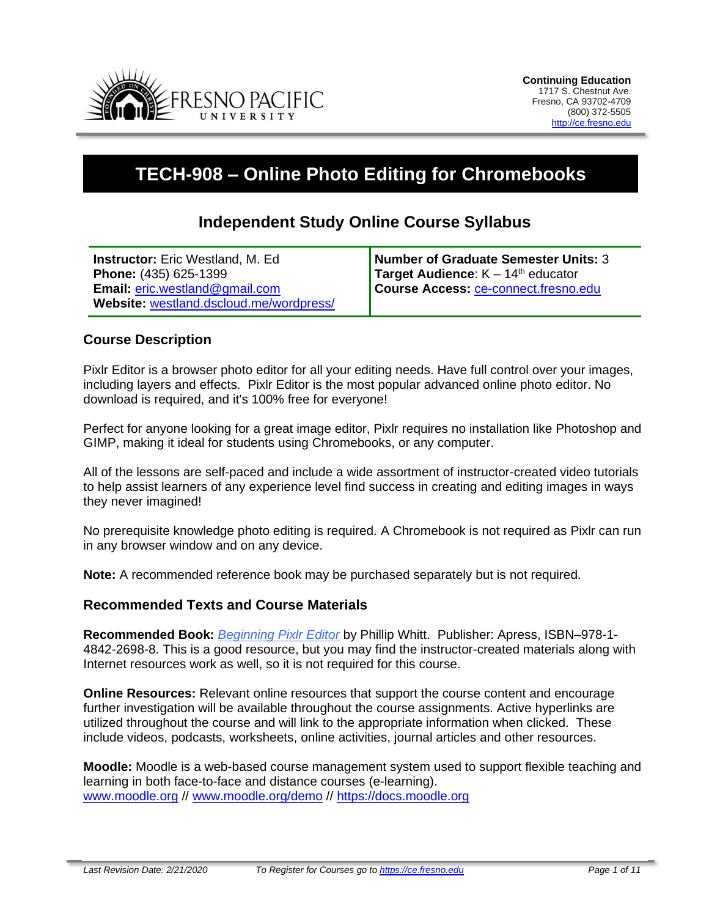

# **TECH-908 – Online Photo Editing for Chromebooks**

## **Independent Study Online Course Syllabus**

| <b>Instructor:</b> Eric Westland, M. Ed.                                         | Number of Graduate Semester Units: 3 |
|----------------------------------------------------------------------------------|--------------------------------------|
| Phone: (435) 625-1399                                                            | Target Audience: $K - 14th$ educator |
| <b>Email: eric.westland@gmail.com</b><br>Website: westland.dscloud.me/wordpress/ | Course Access: ce-connect.fresno.edu |

#### **Course Description**

Pixlr Editor is a browser photo editor for all your editing needs. Have full control over your images, including layers and effects. Pixlr Editor is the most popular advanced online photo editor. No download is required, and it's 100% free for everyone!

Perfect for anyone looking for a great image editor, Pixlr requires no installation like Photoshop and GIMP, making it ideal for students using Chromebooks, or any computer.

All of the lessons are self-paced and include a wide assortment of instructor-created video tutorials to help assist learners of any experience level find success in creating and editing images in ways they never imagined!

No prerequisite knowledge photo editing is required. A Chromebook is not required as Pixlr can run in any browser window and on any device.

**Note:** A recommended reference book may be purchased separately but is not required.

#### **Recommended Texts and Course Materials**

**Recommended Book:** *[Beginning](https://smile.amazon.com/Beginning-Pixlr-Editor-Digital-Web-Based/dp/1484226976/ref=sr_1_1?ie=UTF8&qid=1546885925&sr=8-1&keywords=Beginning+Pixlr+Editor) Pixlr Editor* by Phillip Whitt. Publisher: Apress, ISBN–978-1- 4842-2698-8. This is a good resource, but you may find the instructor-created materials along with Internet resources work as well, so it is not required for this course.

**Online Resources:** Relevant online resources that support the course content and encourage further investigation will be available throughout the course assignments. Active hyperlinks are utilized throughout the course and will link to the appropriate information when clicked. These include videos, podcasts, worksheets, online activities, journal articles and other resources.

**Moodle:** Moodle is a web-based course management system used to support flexible teaching and learning in both face-to-face and distance courses (e-learning). [www.moodle.org](http://www.moodle.org/) // [www.moodle.org/demo](http://www.moodle.org/demo) // [https://docs.moodle.org](https://docs.moodle.org/)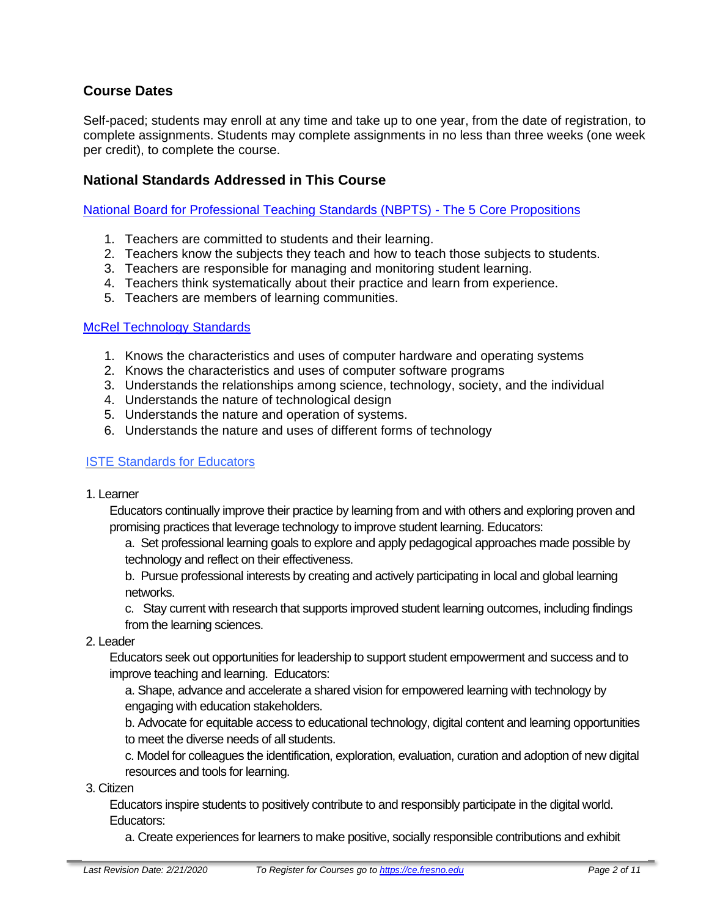## **Course Dates**

Self-paced; students may enroll at any time and take up to one year, from the date of registration, to complete assignments. Students may complete assignments in no less than three weeks (one week per credit), to complete the course.

### **National Standards Addressed in This Course**

National Board for Professional Teaching Standards (NBPTS) - The 5 Core [Propositions](http://www.nbpts.org/five-core-propositions)

- 1. Teachers are committed to students and their learning.
- 2. Teachers know the subjects they teach and how to teach those subjects to students.
- 3. Teachers are responsible for managing and monitoring student learning.
- 4. Teachers think systematically about their practice and learn from experience.
- 5. Teachers are members of learning communities.

#### McRel [Technology](http://www2.mcrel.org/compendium/SubjectTopics.asp?SubjectID=19) Standards

- 1. Knows the [characteristics](http://www2.mcrel.org/compendium/standardDetails.asp?subjectID=19&standardID=1) and uses of computer hardware and operating systems
- 2. Knows the [characteristics](http://www2.mcrel.org/compendium/standardDetails.asp?subjectID=19&standardID=2) and uses of computer software programs
- 3. [Understands](http://www2.mcrel.org/compendium/standardDetails.asp?subjectID=19&standardID=3) the relationships among science, technology, society, and the individual
- 4. Understands the nature of [technological](http://www2.mcrel.org/compendium/standardDetails.asp?subjectID=19&standardID=4) design
- 5. [Understands](http://www2.mcrel.org/compendium/standardDetails.asp?subjectID=19&standardID=5) the nature and operation of systems.
- 6. [Understands](http://www2.mcrel.org/compendium/standardDetails.asp?subjectID=19&standardID=6) the nature and uses of different forms of technology

#### **ISTE [Standards](https://www.iste.org/standards/for-educators) for Educators**

1. Learner

Educators continually improve their practice by learning from and with others and exploring proven and promising practices that leverage technology to improve student learning. Educators:

a. Set professional learning goals to explore and apply pedagogical approaches made possible by technology and reflect on their effectiveness.

b. Pursue professional interests by creating and actively participating in local and global learning networks.

c. Stay current with research that supports improved student learning outcomes, including findings from the learning sciences.

#### 2. Leader

Educators seek out opportunities for leadership to support student empowerment and success and to improve teaching and learning. Educators:

a. Shape, advance and accelerate a shared vision for empowered learning with technology by engaging with education stakeholders.

b. Advocate for equitable access to educational technology, digital content and learning opportunities to meet the diverse needs of all students.

c. Model for colleagues the identification, exploration, evaluation, curation and adoption of new digital resources and tools for learning.

3. Citizen

Educators inspire students to positively contribute to and responsibly participate in the digital world. Educators:

a. Create experiences for learners to make positive, socially responsible contributions and exhibit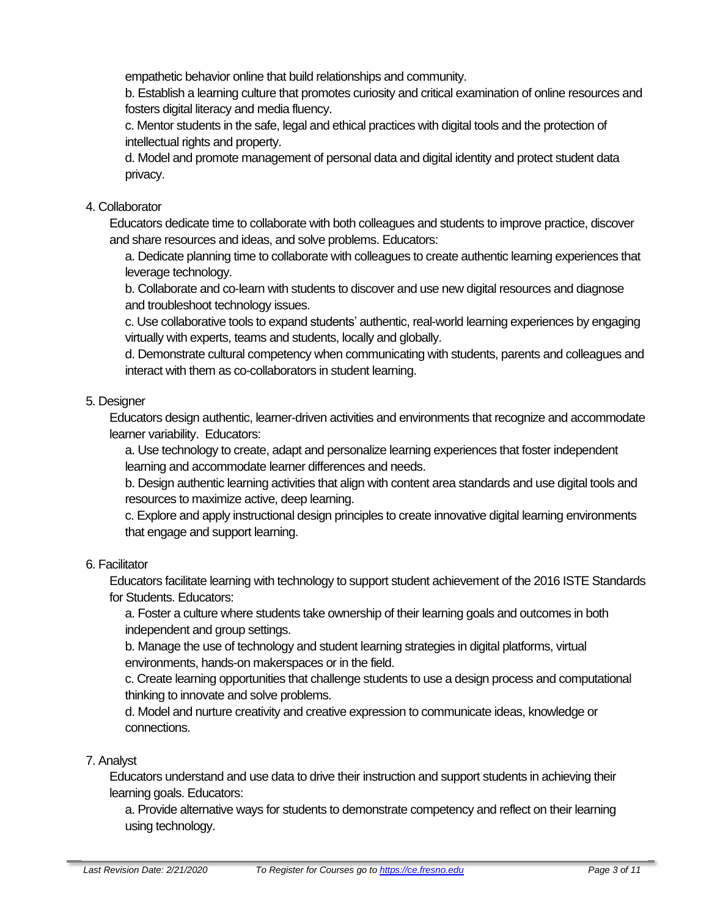empathetic behavior online that build relationships and community.

b. Establish a learning culture that promotes curiosity and critical examination of online resources and fosters digital literacy and media fluency.

c. Mentor students in the safe, legal and ethical practices with digital tools and the protection of intellectual rights and property.

d. Model and promote management of personal data and digital identity and protect student data privacy.

#### 4. Collaborator

Educators dedicate time to collaborate with both colleagues and students to improve practice, discover and share resources and ideas, and solve problems. Educators:

a. Dedicate planning time to collaborate with colleagues to create authentic learning experiences that leverage technology.

b. Collaborate and co-learn with students to discover and use new digital resources and diagnose and troubleshoot technology issues.

c. Use collaborative tools to expand students' authentic, real-world learning experiences by engaging virtually with experts, teams and students, locally and globally.

d. Demonstrate cultural competency when communicating with students, parents and colleagues and interact with them as co-collaborators in student learning.

#### 5. Designer

Educators design authentic, learner-driven activities and environments that recognize and accommodate learner variability. Educators:

a. Use technology to create, adapt and personalize learning experiences that foster independent learning and accommodate learner differences and needs.

b. Design authentic learning activities that align with content area standards and use digital tools and resources to maximize active, deep learning.

c. Explore and apply instructional design principles to create innovative digital learning environments that engage and support learning.

#### 6. Facilitator

Educators facilitate learning with technology to support student achievement of the 2016 ISTE Standards for Students. Educators:

a. Foster a culture where students take ownership of their learning goals and outcomes in both independent and group settings.

b. Manage the use of technology and student learning strategies in digital platforms, virtual environments, hands-on makerspaces or in the field.

c. Create learning opportunities that challenge students to use a design process and computational thinking to innovate and solve problems.

d. Model and nurture creativity and creative expression to communicate ideas, knowledge or connections.

#### 7. Analyst

Educators understand and use data to drive their instruction and support students in achieving their learning goals. Educators:

a. Provide alternative ways for students to demonstrate competency and reflect on their learning using technology.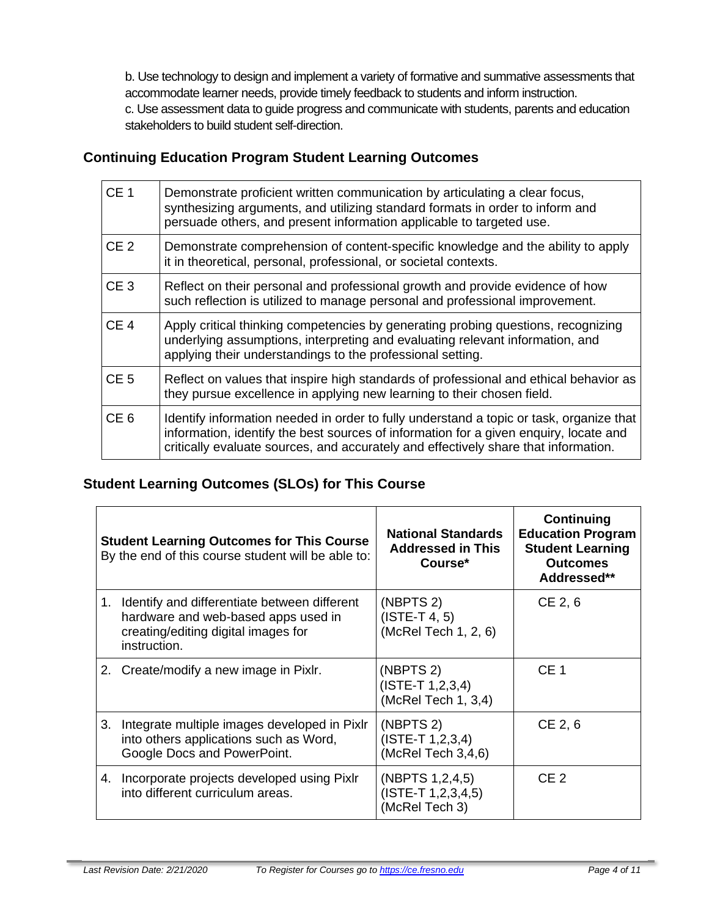b. Use technology to design and implement a variety of formative and summative assessments that accommodate learner needs, provide timely feedback to students and inform instruction. c. Use assessment data to guide progress and communicate with students, parents and education stakeholders to build student self-direction.

## **Continuing Education Program Student Learning Outcomes**

| CE <sub>1</sub> | Demonstrate proficient written communication by articulating a clear focus,<br>synthesizing arguments, and utilizing standard formats in order to inform and<br>persuade others, and present information applicable to targeted use.                                    |
|-----------------|-------------------------------------------------------------------------------------------------------------------------------------------------------------------------------------------------------------------------------------------------------------------------|
| CE <sub>2</sub> | Demonstrate comprehension of content-specific knowledge and the ability to apply<br>it in theoretical, personal, professional, or societal contexts.                                                                                                                    |
| CE <sub>3</sub> | Reflect on their personal and professional growth and provide evidence of how<br>such reflection is utilized to manage personal and professional improvement.                                                                                                           |
| CE <sub>4</sub> | Apply critical thinking competencies by generating probing questions, recognizing<br>underlying assumptions, interpreting and evaluating relevant information, and<br>applying their understandings to the professional setting.                                        |
| CE <sub>5</sub> | Reflect on values that inspire high standards of professional and ethical behavior as<br>they pursue excellence in applying new learning to their chosen field.                                                                                                         |
| CE <sub>6</sub> | Identify information needed in order to fully understand a topic or task, organize that<br>information, identify the best sources of information for a given enquiry, locate and<br>critically evaluate sources, and accurately and effectively share that information. |

## **Student Learning Outcomes (SLOs) for This Course**

| <b>Student Learning Outcomes for This Course</b><br>By the end of this course student will be able to: |                                                                                                                                               | <b>National Standards</b><br><b>Addressed in This</b><br>Course*   | Continuing<br><b>Education Program</b><br><b>Student Learning</b><br><b>Outcomes</b><br>Addressed** |
|--------------------------------------------------------------------------------------------------------|-----------------------------------------------------------------------------------------------------------------------------------------------|--------------------------------------------------------------------|-----------------------------------------------------------------------------------------------------|
|                                                                                                        | 1. Identify and differentiate between different<br>hardware and web-based apps used in<br>creating/editing digital images for<br>instruction. | (NBPTS <sub>2</sub> )<br>$(ISTE-T 4, 5)$<br>(McRel Tech 1, 2, 6)   | CE 2, 6                                                                                             |
|                                                                                                        | 2. Create/modify a new image in Pixlr.                                                                                                        | (NBPTS <sub>2</sub> )<br>$(ISTE-T 1,2,3,4)$<br>(McRel Tech 1, 3,4) | CE <sub>1</sub>                                                                                     |
| 3.                                                                                                     | Integrate multiple images developed in Pixlr<br>into others applications such as Word,<br>Google Docs and PowerPoint.                         | (NBPTS <sub>2</sub> )<br>$(ISTE-T 1,2,3,4)$<br>(McRel Tech 3,4,6)  | CE 2, 6                                                                                             |
| 4.                                                                                                     | Incorporate projects developed using Pixlr<br>into different curriculum areas.                                                                | (NBPTS 1,2,4,5)<br>$(ISTE-T 1, 2, 3, 4, 5)$<br>(McRel Tech 3)      | CE <sub>2</sub>                                                                                     |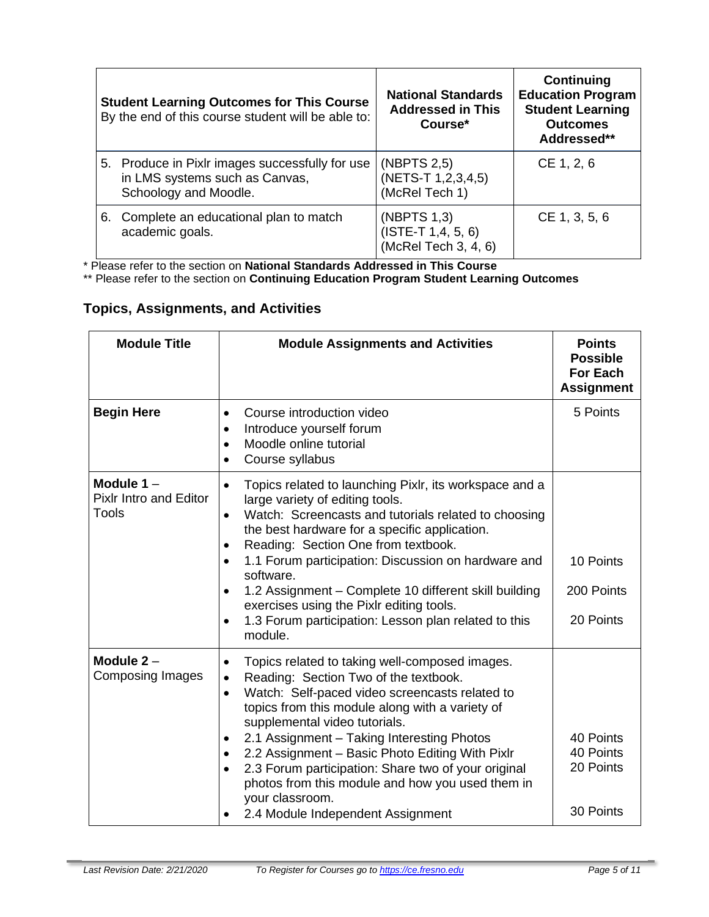| <b>Student Learning Outcomes for This Course</b><br>By the end of this course student will be able to: |                                                                                                            | <b>National Standards</b><br><b>Addressed in This</b><br>Course* | Continuing<br><b>Education Program</b><br><b>Student Learning</b><br><b>Outcomes</b><br>Addressed** |
|--------------------------------------------------------------------------------------------------------|------------------------------------------------------------------------------------------------------------|------------------------------------------------------------------|-----------------------------------------------------------------------------------------------------|
|                                                                                                        | 5. Produce in Pixlr images successfully for use<br>in LMS systems such as Canvas,<br>Schoology and Moodle. | (NBPTS 2,5)<br>(NETS-T 1,2,3,4,5)<br>(McRel Tech 1)              | CE 1, 2, 6                                                                                          |
| 6.                                                                                                     | Complete an educational plan to match<br>academic goals.                                                   | (NBPTS 1,3)<br>$(ISTE-T 1,4, 5, 6)$<br>(McRel Tech 3, 4, 6)      | CE 1, 3, 5, 6                                                                                       |

\* Please refer to the section on **National Standards Addressed in This Course**

\*\* Please refer to the section on **Continuing Education Program Student Learning Outcomes**

## **Topics, Assignments, and Activities**

| <b>Module Title</b>                                    | <b>Module Assignments and Activities</b>                                                                                                                                                                                                                                                                                                                                                                                                                                                                                                                           | <b>Points</b><br><b>Possible</b><br><b>For Each</b><br><b>Assignment</b> |
|--------------------------------------------------------|--------------------------------------------------------------------------------------------------------------------------------------------------------------------------------------------------------------------------------------------------------------------------------------------------------------------------------------------------------------------------------------------------------------------------------------------------------------------------------------------------------------------------------------------------------------------|--------------------------------------------------------------------------|
| <b>Begin Here</b>                                      | Course introduction video<br>$\bullet$<br>Introduce yourself forum<br>$\bullet$<br>Moodle online tutorial<br>$\bullet$<br>Course syllabus<br>$\bullet$                                                                                                                                                                                                                                                                                                                                                                                                             | 5 Points                                                                 |
| Module $1 -$<br>Pixlr Intro and Editor<br><b>Tools</b> | Topics related to launching Pixlr, its workspace and a<br>$\bullet$<br>large variety of editing tools.<br>Watch: Screencasts and tutorials related to choosing<br>$\bullet$<br>the best hardware for a specific application.<br>Reading: Section One from textbook.<br>$\bullet$<br>1.1 Forum participation: Discussion on hardware and<br>$\bullet$<br>software.<br>1.2 Assignment - Complete 10 different skill building<br>exercises using the Pixlr editing tools.<br>1.3 Forum participation: Lesson plan related to this<br>$\bullet$<br>module.             | 10 Points<br>200 Points<br>20 Points                                     |
| Module $2 -$<br><b>Composing Images</b>                | Topics related to taking well-composed images.<br>$\bullet$<br>Reading: Section Two of the textbook.<br>$\bullet$<br>Watch: Self-paced video screencasts related to<br>$\bullet$<br>topics from this module along with a variety of<br>supplemental video tutorials.<br>2.1 Assignment - Taking Interesting Photos<br>$\bullet$<br>2.2 Assignment - Basic Photo Editing With Pixlr<br>$\bullet$<br>2.3 Forum participation: Share two of your original<br>photos from this module and how you used them in<br>your classroom.<br>2.4 Module Independent Assignment | 40 Points<br>40 Points<br>20 Points<br>30 Points                         |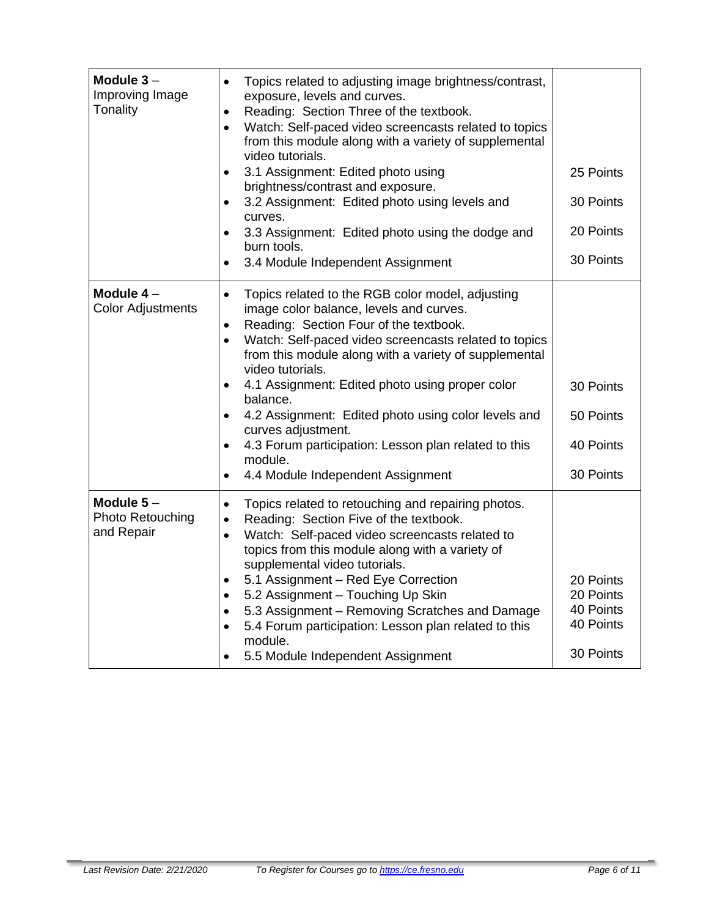| Module $3-$<br>Improving Image<br>Tonality    | Topics related to adjusting image brightness/contrast,<br>$\bullet$<br>exposure, levels and curves.<br>Reading: Section Three of the textbook.<br>$\bullet$<br>Watch: Self-paced video screencasts related to topics<br>$\bullet$<br>from this module along with a variety of supplemental<br>video tutorials.<br>3.1 Assignment: Edited photo using<br>$\bullet$<br>brightness/contrast and exposure.<br>3.2 Assignment: Edited photo using levels and<br>$\bullet$<br>curves.<br>3.3 Assignment: Edited photo using the dodge and<br>$\bullet$<br>burn tools.<br>3.4 Module Independent Assignment<br>$\bullet$ | 25 Points<br>30 Points<br>20 Points<br>30 Points              |
|-----------------------------------------------|-------------------------------------------------------------------------------------------------------------------------------------------------------------------------------------------------------------------------------------------------------------------------------------------------------------------------------------------------------------------------------------------------------------------------------------------------------------------------------------------------------------------------------------------------------------------------------------------------------------------|---------------------------------------------------------------|
| Module $4-$<br><b>Color Adjustments</b>       | Topics related to the RGB color model, adjusting<br>$\bullet$<br>image color balance, levels and curves.<br>Reading: Section Four of the textbook.<br>$\bullet$<br>Watch: Self-paced video screencasts related to topics<br>$\bullet$<br>from this module along with a variety of supplemental<br>video tutorials.<br>4.1 Assignment: Edited photo using proper color<br>balance.<br>4.2 Assignment: Edited photo using color levels and<br>$\bullet$<br>curves adjustment.<br>4.3 Forum participation: Lesson plan related to this<br>$\bullet$<br>module.<br>4.4 Module Independent Assignment<br>$\bullet$     | 30 Points<br>50 Points<br>40 Points<br>30 Points              |
| Module $5-$<br>Photo Retouching<br>and Repair | Topics related to retouching and repairing photos.<br>$\bullet$<br>Reading: Section Five of the textbook.<br>$\bullet$<br>Watch: Self-paced video screencasts related to<br>$\bullet$<br>topics from this module along with a variety of<br>supplemental video tutorials.<br>5.1 Assignment - Red Eye Correction<br>٠<br>5.2 Assignment - Touching Up Skin<br>$\bullet$<br>5.3 Assignment - Removing Scratches and Damage<br>$\bullet$<br>5.4 Forum participation: Lesson plan related to this<br>$\bullet$<br>module.<br>5.5 Module Independent Assignment<br>$\bullet$                                          | 20 Points<br>20 Points<br>40 Points<br>40 Points<br>30 Points |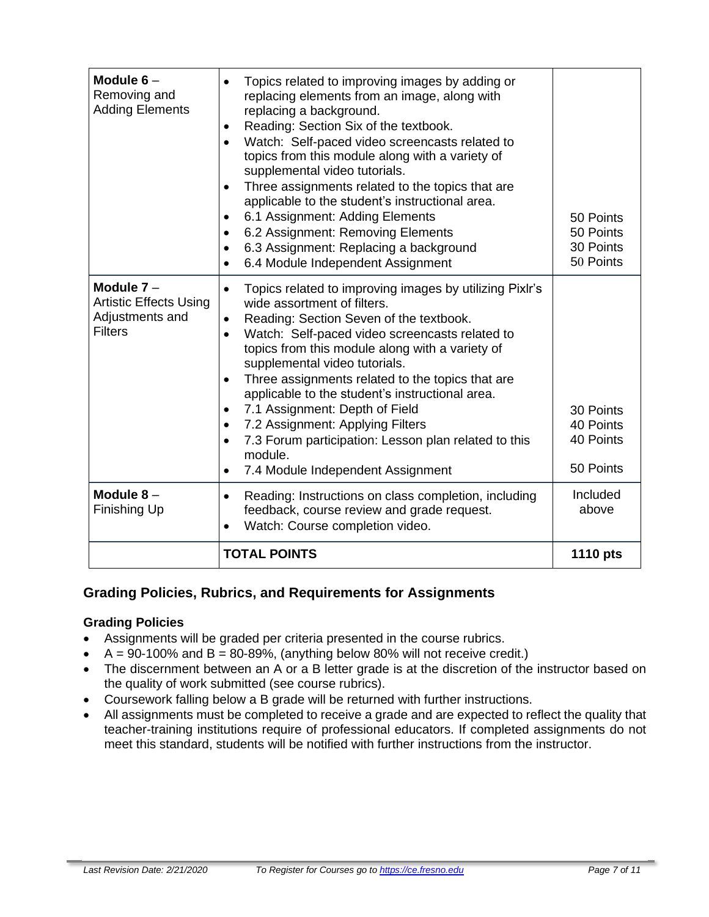| Module $6-$<br>Removing and<br><b>Adding Elements</b>                              | Topics related to improving images by adding or<br>$\bullet$<br>replacing elements from an image, along with<br>replacing a background.<br>Reading: Section Six of the textbook.<br>$\bullet$<br>Watch: Self-paced video screencasts related to<br>$\bullet$<br>topics from this module along with a variety of<br>supplemental video tutorials.<br>Three assignments related to the topics that are<br>$\bullet$<br>applicable to the student's instructional area.<br>6.1 Assignment: Adding Elements<br>$\bullet$<br>6.2 Assignment: Removing Elements<br>$\bullet$<br>6.3 Assignment: Replacing a background<br>$\bullet$<br>6.4 Module Independent Assignment<br>$\bullet$ | 50 Points<br>50 Points<br>30 Points<br>50 Points |
|------------------------------------------------------------------------------------|---------------------------------------------------------------------------------------------------------------------------------------------------------------------------------------------------------------------------------------------------------------------------------------------------------------------------------------------------------------------------------------------------------------------------------------------------------------------------------------------------------------------------------------------------------------------------------------------------------------------------------------------------------------------------------|--------------------------------------------------|
| Module $7 -$<br><b>Artistic Effects Using</b><br>Adjustments and<br><b>Filters</b> | Topics related to improving images by utilizing Pixlr's<br>$\bullet$<br>wide assortment of filters.<br>Reading: Section Seven of the textbook.<br>$\bullet$<br>Watch: Self-paced video screencasts related to<br>$\bullet$<br>topics from this module along with a variety of<br>supplemental video tutorials.<br>Three assignments related to the topics that are<br>$\bullet$<br>applicable to the student's instructional area.<br>7.1 Assignment: Depth of Field<br>$\bullet$<br>7.2 Assignment: Applying Filters<br>$\bullet$<br>7.3 Forum participation: Lesson plan related to this<br>$\bullet$<br>module.<br>7.4 Module Independent Assignment<br>$\bullet$            | 30 Points<br>40 Points<br>40 Points<br>50 Points |
| Module $8-$<br>Finishing Up                                                        | Reading: Instructions on class completion, including<br>$\bullet$<br>feedback, course review and grade request.<br>Watch: Course completion video.<br>$\bullet$                                                                                                                                                                                                                                                                                                                                                                                                                                                                                                                 | Included<br>above                                |
|                                                                                    | <b>TOTAL POINTS</b>                                                                                                                                                                                                                                                                                                                                                                                                                                                                                                                                                                                                                                                             | 1110 pts                                         |

## **Grading Policies, Rubrics, and Requirements for Assignments**

#### **Grading Policies**

- Assignments will be graded per criteria presented in the course rubrics.
- $A = 90-100\%$  and  $B = 80-89\%$ , (anything below 80% will not receive credit.)
- The discernment between an A or a B letter grade is at the discretion of the instructor based on the quality of work submitted (see course rubrics).
- Coursework falling below a B grade will be returned with further instructions.
- All assignments must be completed to receive a grade and are expected to reflect the quality that teacher-training institutions require of professional educators. If completed assignments do not meet this standard, students will be notified with further instructions from the instructor.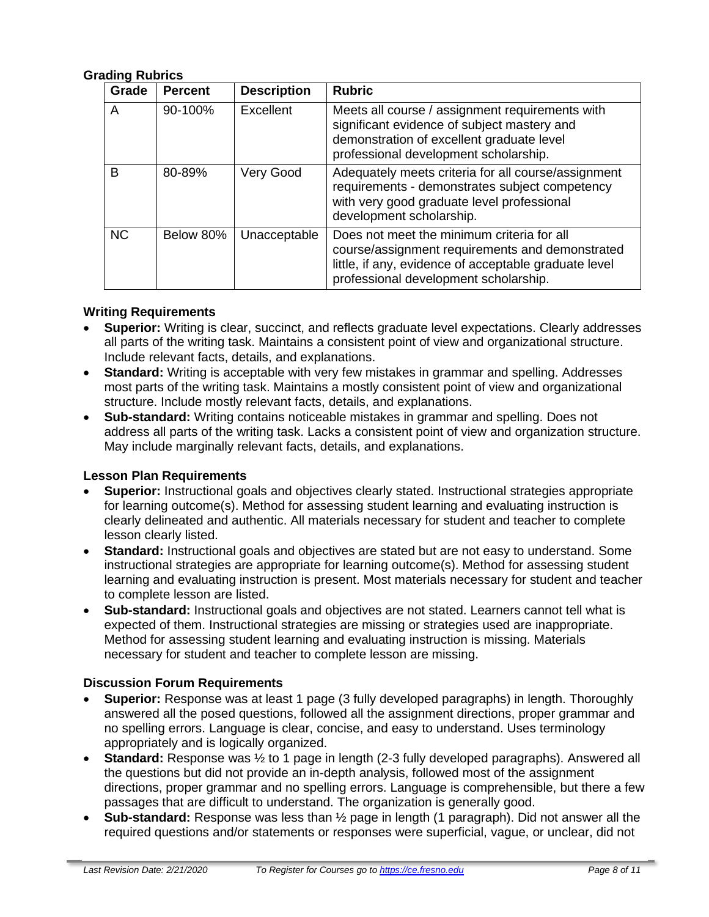#### **Grading Rubrics**

| Grade     | <b>Percent</b> | <b>Description</b> | <b>Rubric</b>                                                                                                                                                                                   |
|-----------|----------------|--------------------|-------------------------------------------------------------------------------------------------------------------------------------------------------------------------------------------------|
| A         | 90-100%        | Excellent          | Meets all course / assignment requirements with<br>significant evidence of subject mastery and<br>demonstration of excellent graduate level<br>professional development scholarship.            |
| B         | 80-89%         | Very Good          | Adequately meets criteria for all course/assignment<br>requirements - demonstrates subject competency<br>with very good graduate level professional<br>development scholarship.                 |
| <b>NC</b> | Below 80%      | Unacceptable       | Does not meet the minimum criteria for all<br>course/assignment requirements and demonstrated<br>little, if any, evidence of acceptable graduate level<br>professional development scholarship. |

#### **Writing Requirements**

- **Superior:** Writing is clear, succinct, and reflects graduate level expectations. Clearly addresses all parts of the writing task. Maintains a consistent point of view and organizational structure. Include relevant facts, details, and explanations.
- **Standard:** Writing is acceptable with very few mistakes in grammar and spelling. Addresses most parts of the writing task. Maintains a mostly consistent point of view and organizational structure. Include mostly relevant facts, details, and explanations.
- **Sub-standard:** Writing contains noticeable mistakes in grammar and spelling. Does not address all parts of the writing task. Lacks a consistent point of view and organization structure. May include marginally relevant facts, details, and explanations.

#### **Lesson Plan Requirements**

- **Superior:** Instructional goals and objectives clearly stated. Instructional strategies appropriate for learning outcome(s). Method for assessing student learning and evaluating instruction is clearly delineated and authentic. All materials necessary for student and teacher to complete lesson clearly listed.
- **Standard:** Instructional goals and objectives are stated but are not easy to understand. Some instructional strategies are appropriate for learning outcome(s). Method for assessing student learning and evaluating instruction is present. Most materials necessary for student and teacher to complete lesson are listed.
- **Sub-standard:** Instructional goals and objectives are not stated. Learners cannot tell what is expected of them. Instructional strategies are missing or strategies used are inappropriate. Method for assessing student learning and evaluating instruction is missing. Materials necessary for student and teacher to complete lesson are missing.

## **Discussion Forum Requirements**

- **Superior:** Response was at least 1 page (3 fully developed paragraphs) in length. Thoroughly answered all the posed questions, followed all the assignment directions, proper grammar and no spelling errors. Language is clear, concise, and easy to understand. Uses terminology appropriately and is logically organized.
- **Standard:** Response was  $\frac{1}{2}$  to 1 page in length (2-3 fully developed paragraphs). Answered all the questions but did not provide an in-depth analysis, followed most of the assignment directions, proper grammar and no spelling errors. Language is comprehensible, but there a few passages that are difficult to understand. The organization is generally good.
- **Sub-standard:** Response was less than ½ page in length (1 paragraph). Did not answer all the required questions and/or statements or responses were superficial, vague, or unclear, did not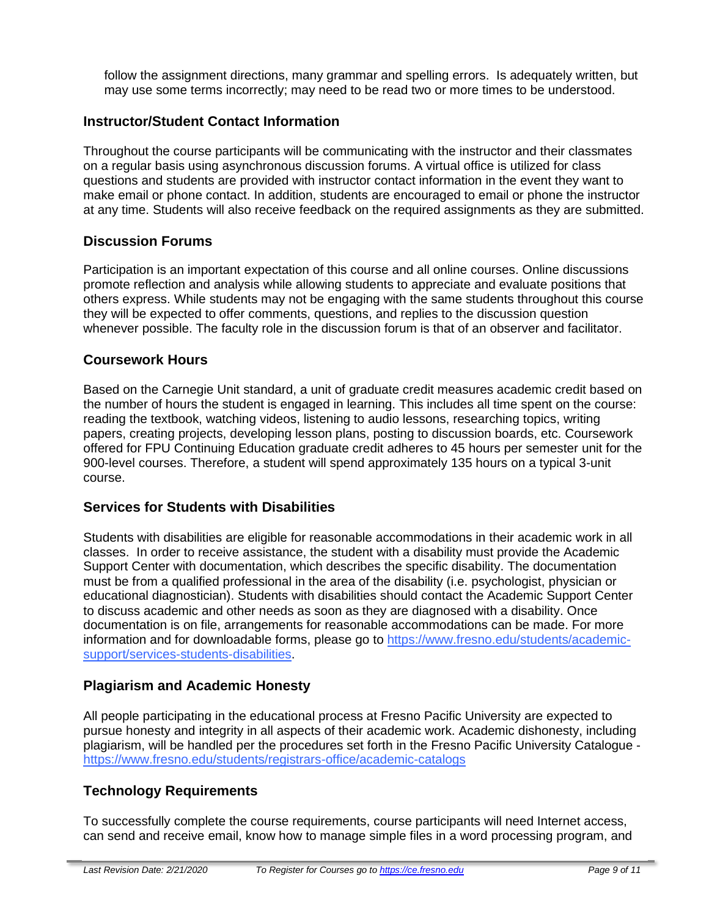follow the assignment directions, many grammar and spelling errors. Is adequately written, but may use some terms incorrectly; may need to be read two or more times to be understood.

## **Instructor/Student Contact Information**

Throughout the course participants will be communicating with the instructor and their classmates on a regular basis using asynchronous discussion forums. A virtual office is utilized for class questions and students are provided with instructor contact information in the event they want to make email or phone contact. In addition, students are encouraged to email or phone the instructor at any time. Students will also receive feedback on the required assignments as they are submitted.

## **Discussion Forums**

Participation is an important expectation of this course and all online courses. Online discussions promote reflection and analysis while allowing students to appreciate and evaluate positions that others express. While students may not be engaging with the same students throughout this course they will be expected to offer comments, questions, and replies to the discussion question whenever possible. The faculty role in the discussion forum is that of an observer and facilitator.

## **Coursework Hours**

Based on the Carnegie Unit standard, a unit of graduate credit measures academic credit based on the number of hours the student is engaged in learning. This includes all time spent on the course: reading the textbook, watching videos, listening to audio lessons, researching topics, writing papers, creating projects, developing lesson plans, posting to discussion boards, etc. Coursework offered for FPU Continuing Education graduate credit adheres to 45 hours per semester unit for the 900-level courses. Therefore, a student will spend approximately 135 hours on a typical 3-unit course.

## **Services for Students with Disabilities**

Students with disabilities are eligible for reasonable accommodations in their academic work in all classes. In order to receive assistance, the student with a disability must provide the Academic Support Center with documentation, which describes the specific disability. The documentation must be from a qualified professional in the area of the disability (i.e. psychologist, physician or educational diagnostician). Students with disabilities should contact the Academic Support Center to discuss academic and other needs as soon as they are diagnosed with a disability. Once documentation is on file, arrangements for reasonable accommodations can be made. For more information and for downloadable forms, please go to [https://www.fresno.edu/students/academic](https://www.fresno.edu/students/academic-support/services-students-disabilities)[support/services-students-disabilities.](https://www.fresno.edu/students/academic-support/services-students-disabilities)

## **Plagiarism and Academic Honesty**

All people participating in the educational process at Fresno Pacific University are expected to pursue honesty and integrity in all aspects of their academic work. Academic dishonesty, including plagiarism, will be handled per the procedures set forth in the Fresno Pacific University Catalogue <https://www.fresno.edu/students/registrars-office/academic-catalogs>

## **Technology Requirements**

To successfully complete the course requirements, course participants will need Internet access, can send and receive email, know how to manage simple files in a word processing program, and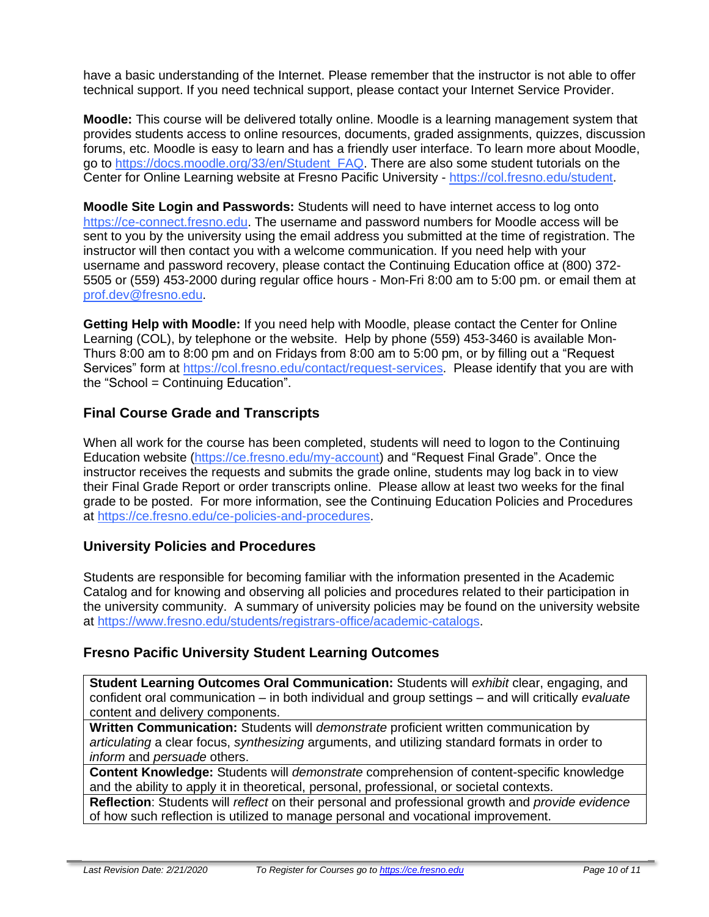have a basic understanding of the Internet. Please remember that the instructor is not able to offer technical support. If you need technical support, please contact your Internet Service Provider.

**Moodle:** This course will be delivered totally online. Moodle is a learning management system that provides students access to online resources, documents, graded assignments, quizzes, discussion forums, etc. Moodle is easy to learn and has a friendly user interface. To learn more about Moodle, go to [https://docs.moodle.org/33/en/Student\\_FAQ.](https://docs.moodle.org/33/en/Student_FAQ) There are also some student tutorials on the Center for Online Learning website at Fresno Pacific University - [https://col.fresno.edu/student.](https://col.fresno.edu/student)

**Moodle Site Login and Passwords:** Students will need to have internet access to log onto [https://ce-connect.fresno.edu.](https://ce-connect.fresno.edu/) The username and password numbers for Moodle access will be sent to you by the university using the email address you submitted at the time of registration. The instructor will then contact you with a welcome communication. If you need help with your username and password recovery, please contact the Continuing Education office at (800) 372- 5505 or (559) 453-2000 during regular office hours - Mon-Fri 8:00 am to 5:00 pm. or email them at [prof.dev@fresno.edu.](mailto:prof.dev@fresno.edu)

**Getting Help with Moodle:** If you need help with Moodle, please contact the Center for Online Learning (COL), by telephone or the website. Help by phone (559) 453-3460 is available Mon-Thurs 8:00 am to 8:00 pm and on Fridays from 8:00 am to 5:00 pm, or by filling out a "Request Services" form at [https://col.fresno.edu/contact/request-services.](https://col.fresno.edu/contact/request-services) Please identify that you are with the "School = Continuing Education".

## **Final Course Grade and Transcripts**

When all work for the course has been completed, students will need to logon to the Continuing Education website [\(https://ce.fresno.edu/my-account\)](https://ce.fresno.edu/my-account) and "Request Final Grade". Once the instructor receives the requests and submits the grade online, students may log back in to view their Final Grade Report or order transcripts online. Please allow at least two weeks for the final grade to be posted. For more information, see the Continuing Education Policies and Procedures at [https://ce.fresno.edu/ce-policies-and-procedures.](https://ce.fresno.edu/ce-policies-and-procedures)

## **University Policies and Procedures**

Students are responsible for becoming familiar with the information presented in the Academic Catalog and for knowing and observing all policies and procedures related to their participation in the university community. A summary of university policies may be found on the university website at [https://www.fresno.edu/students/registrars-office/academic-catalogs.](https://www.fresno.edu/students/registrars-office/academic-catalogs)

## **Fresno Pacific University Student Learning Outcomes**

**Student Learning Outcomes Oral Communication:** Students will *exhibit* clear, engaging, and confident oral communication – in both individual and group settings – and will critically *evaluate* content and delivery components.

**Written Communication:** Students will *demonstrate* proficient written communication by *articulating* a clear focus, *synthesizing* arguments, and utilizing standard formats in order to *inform* and *persuade* others.

**Content Knowledge:** Students will *demonstrate* comprehension of content-specific knowledge and the ability to apply it in theoretical, personal, professional, or societal contexts.

**Reflection**: Students will *reflect* on their personal and professional growth and *provide evidence* of how such reflection is utilized to manage personal and vocational improvement.